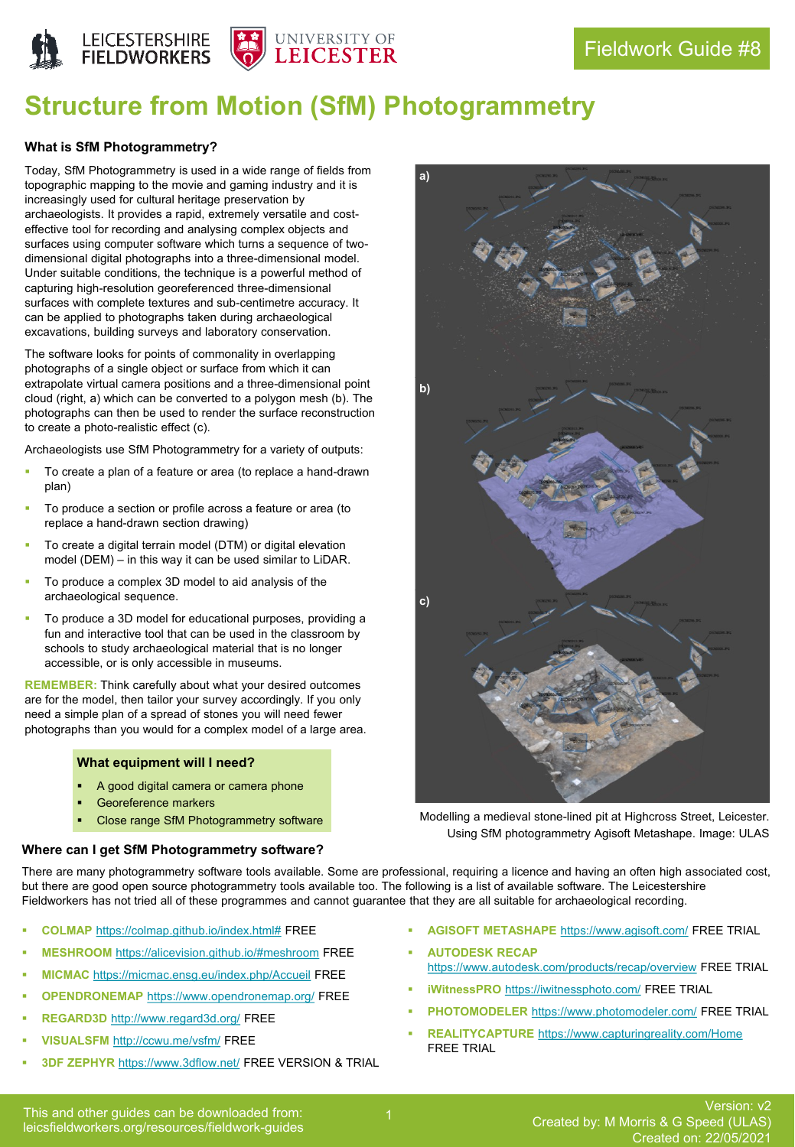



# **Structure from Motion (SfM) Photogrammetry**

# **What is SfM Photogrammetry?**

Today, SfM Photogrammetry is used in a wide range of fields from topographic mapping to the movie and gaming industry and it is increasingly used for cultural heritage preservation by archaeologists. It provides a rapid, extremely versatile and costeffective tool for recording and analysing complex objects and surfaces using computer software which turns a sequence of twodimensional digital photographs into a three-dimensional model. Under suitable conditions, the technique is a powerful method of capturing high-resolution georeferenced three-dimensional surfaces with complete textures and sub-centimetre accuracy. It can be applied to photographs taken during archaeological excavations, building surveys and laboratory conservation.

The software looks for points of commonality in overlapping photographs of a single object or surface from which it can extrapolate virtual camera positions and a three-dimensional point cloud (right, a) which can be converted to a polygon mesh (b). The photographs can then be used to render the surface reconstruction to create a photo-realistic effect (c).

Archaeologists use SfM Photogrammetry for a variety of outputs:

- To create a plan of a feature or area (to replace a hand-drawn plan)
- To produce a section or profile across a feature or area (to replace a hand-drawn section drawing)
- To create a digital terrain model (DTM) or digital elevation model (DEM) – in this way it can be used similar to LiDAR.
- To produce a complex 3D model to aid analysis of the archaeological sequence.
- To produce a 3D model for educational purposes, providing a fun and interactive tool that can be used in the classroom by schools to study archaeological material that is no longer accessible, or is only accessible in museums.

**REMEMBER:** Think carefully about what your desired outcomes are for the model, then tailor your survey accordingly. If you only need a simple plan of a spread of stones you will need fewer photographs than you would for a complex model of a large area.

# **What equipment will I need?**

- A good digital camera or camera phone
- Georeference markers
- Close range SfM Photogrammetry software

#### **Where can I get SfM Photogrammetry software?**

There are many photogrammetry software tools available. Some are professional, requiring a licence and having an often high associated cost, but there are good open source photogrammetry tools available too. The following is a list of available software. The Leicestershire Fieldworkers has not tried all of these programmes and cannot guarantee that they are all suitable for archaeological recording.

- COLMAP [https://colmap.github.io/index.html#](https://colmap.github.io/index.html) FREE
- **MESHROOM** <https://alicevision.github.io/#meshroom> FREE
- **MICMAC** <https://micmac.ensg.eu/index.php/Accueil> FREE
- **OPENDRONEMAP <https://www.opendronemap.org/> FREE**
- **REGARD3D** <http://www.regard3d.org/> FREE
- **VISUALSFM** <http://ccwu.me/vsfm/> FREE
- 3DF ZEPHYR <https://www.3dflow.net/> FREE VERSION & TRIAL
- **AGISOFT METASHAPE** <https://www.agisoft.com/> FREE TRIAL
- **AUTODESK RECAP** <https://www.autodesk.com/products/recap/overview> FREE TRIAL
- iWitnessPRO <https://iwitnessphoto.com/> FREE TRIAL
- PHOTOMODELER <https://www.photomodeler.com/> FREE TRIAL
- **REALITYCAPTURE** <https://www.capturingreality.com/Home> FREE TRIAL